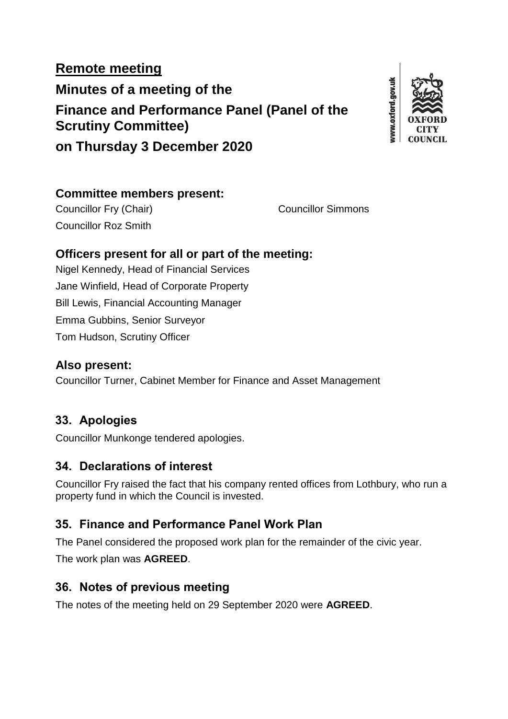# **Remote meeting Minutes of a meeting of the Finance and Performance Panel (Panel of the Scrutiny Committee) on Thursday 3 December 2020**



# **Committee members present:**

Councillor Fry (Chair) Councillor Simmons Councillor Roz Smith

# **Officers present for all or part of the meeting:**

Nigel Kennedy, Head of Financial Services Jane Winfield, Head of Corporate Property Bill Lewis, Financial Accounting Manager Emma Gubbins, Senior Surveyor Tom Hudson, Scrutiny Officer

### **Also present:**

Councillor Turner, Cabinet Member for Finance and Asset Management

# **33. Apologies**

Councillor Munkonge tendered apologies.

# **34. Declarations of interest**

Councillor Fry raised the fact that his company rented offices from Lothbury, who run a property fund in which the Council is invested.

# **35. Finance and Performance Panel Work Plan**

The Panel considered the proposed work plan for the remainder of the civic year.

The work plan was **AGREED**.

# **36. Notes of previous meeting**

The notes of the meeting held on 29 September 2020 were **AGREED**.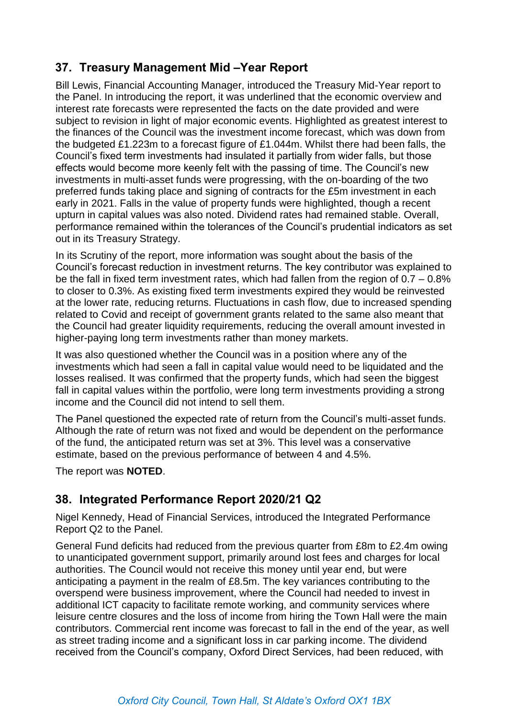# **37. Treasury Management Mid –Year Report**

Bill Lewis, Financial Accounting Manager, introduced the Treasury Mid-Year report to the Panel. In introducing the report, it was underlined that the economic overview and interest rate forecasts were represented the facts on the date provided and were subject to revision in light of major economic events. Highlighted as greatest interest to the finances of the Council was the investment income forecast, which was down from the budgeted £1.223m to a forecast figure of £1.044m. Whilst there had been falls, the Council's fixed term investments had insulated it partially from wider falls, but those effects would become more keenly felt with the passing of time. The Council's new investments in multi-asset funds were progressing, with the on-boarding of the two preferred funds taking place and signing of contracts for the £5m investment in each early in 2021. Falls in the value of property funds were highlighted, though a recent upturn in capital values was also noted. Dividend rates had remained stable. Overall, performance remained within the tolerances of the Council's prudential indicators as set out in its Treasury Strategy.

In its Scrutiny of the report, more information was sought about the basis of the Council's forecast reduction in investment returns. The key contributor was explained to be the fall in fixed term investment rates, which had fallen from the region of 0.7 – 0.8% to closer to 0.3%. As existing fixed term investments expired they would be reinvested at the lower rate, reducing returns. Fluctuations in cash flow, due to increased spending related to Covid and receipt of government grants related to the same also meant that the Council had greater liquidity requirements, reducing the overall amount invested in higher-paying long term investments rather than money markets.

It was also questioned whether the Council was in a position where any of the investments which had seen a fall in capital value would need to be liquidated and the losses realised. It was confirmed that the property funds, which had seen the biggest fall in capital values within the portfolio, were long term investments providing a strong income and the Council did not intend to sell them.

The Panel questioned the expected rate of return from the Council's multi-asset funds. Although the rate of return was not fixed and would be dependent on the performance of the fund, the anticipated return was set at 3%. This level was a conservative estimate, based on the previous performance of between 4 and 4.5%.

The report was **NOTED**.

# **38. Integrated Performance Report 2020/21 Q2**

Nigel Kennedy, Head of Financial Services, introduced the Integrated Performance Report Q2 to the Panel.

General Fund deficits had reduced from the previous quarter from £8m to £2.4m owing to unanticipated government support, primarily around lost fees and charges for local authorities. The Council would not receive this money until year end, but were anticipating a payment in the realm of £8.5m. The key variances contributing to the overspend were business improvement, where the Council had needed to invest in additional ICT capacity to facilitate remote working, and community services where leisure centre closures and the loss of income from hiring the Town Hall were the main contributors. Commercial rent income was forecast to fall in the end of the year, as well as street trading income and a significant loss in car parking income. The dividend received from the Council's company, Oxford Direct Services, had been reduced, with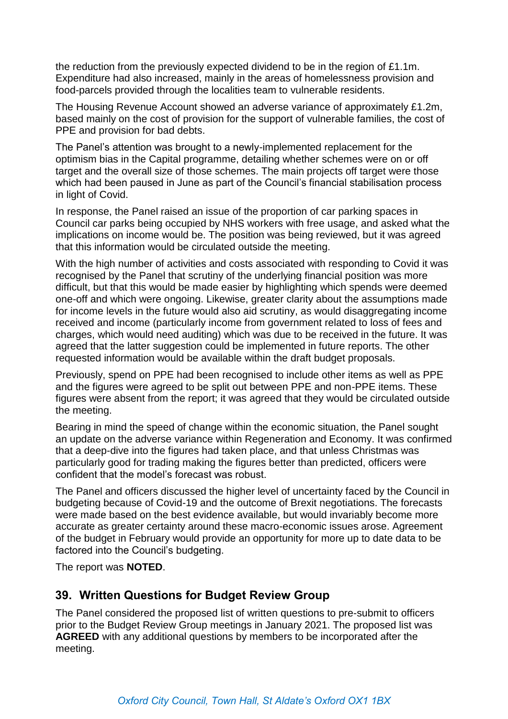the reduction from the previously expected dividend to be in the region of £1.1m. Expenditure had also increased, mainly in the areas of homelessness provision and food-parcels provided through the localities team to vulnerable residents.

The Housing Revenue Account showed an adverse variance of approximately £1.2m, based mainly on the cost of provision for the support of vulnerable families, the cost of PPE and provision for bad debts.

The Panel's attention was brought to a newly-implemented replacement for the optimism bias in the Capital programme, detailing whether schemes were on or off target and the overall size of those schemes. The main projects off target were those which had been paused in June as part of the Council's financial stabilisation process in light of Covid.

In response, the Panel raised an issue of the proportion of car parking spaces in Council car parks being occupied by NHS workers with free usage, and asked what the implications on income would be. The position was being reviewed, but it was agreed that this information would be circulated outside the meeting.

With the high number of activities and costs associated with responding to Covid it was recognised by the Panel that scrutiny of the underlying financial position was more difficult, but that this would be made easier by highlighting which spends were deemed one-off and which were ongoing. Likewise, greater clarity about the assumptions made for income levels in the future would also aid scrutiny, as would disaggregating income received and income (particularly income from government related to loss of fees and charges, which would need auditing) which was due to be received in the future. It was agreed that the latter suggestion could be implemented in future reports. The other requested information would be available within the draft budget proposals.

Previously, spend on PPE had been recognised to include other items as well as PPE and the figures were agreed to be split out between PPE and non-PPE items. These figures were absent from the report; it was agreed that they would be circulated outside the meeting.

Bearing in mind the speed of change within the economic situation, the Panel sought an update on the adverse variance within Regeneration and Economy. It was confirmed that a deep-dive into the figures had taken place, and that unless Christmas was particularly good for trading making the figures better than predicted, officers were confident that the model's forecast was robust.

The Panel and officers discussed the higher level of uncertainty faced by the Council in budgeting because of Covid-19 and the outcome of Brexit negotiations. The forecasts were made based on the best evidence available, but would invariably become more accurate as greater certainty around these macro-economic issues arose. Agreement of the budget in February would provide an opportunity for more up to date data to be factored into the Council's budgeting.

The report was **NOTED**.

# **39. Written Questions for Budget Review Group**

The Panel considered the proposed list of written questions to pre-submit to officers prior to the Budget Review Group meetings in January 2021. The proposed list was **AGREED** with any additional questions by members to be incorporated after the meeting.